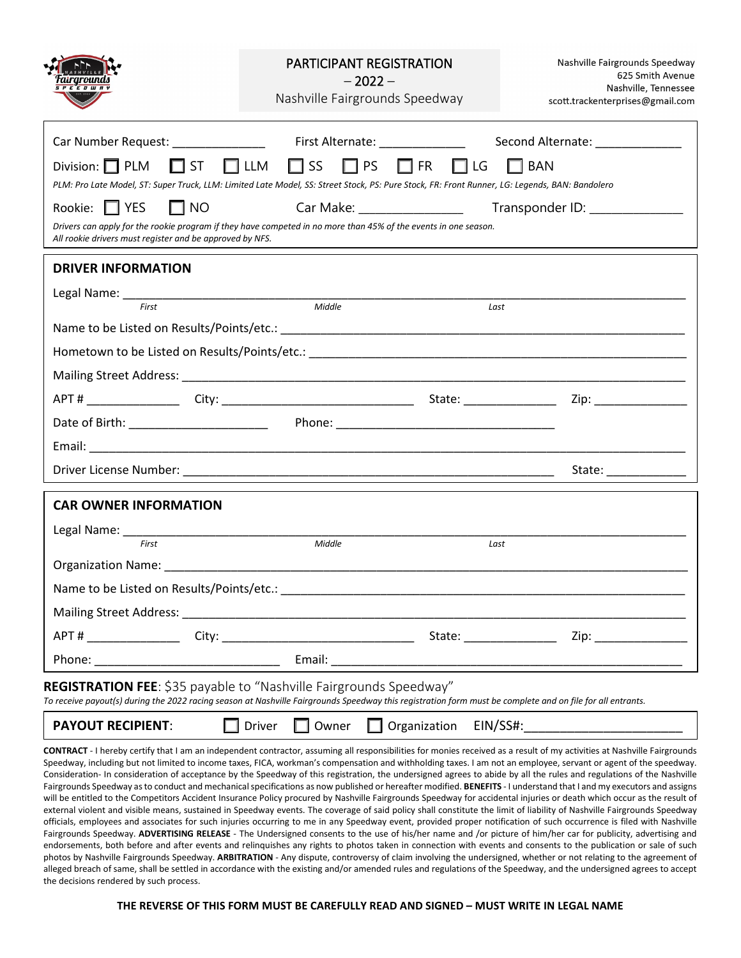|                                                                                                                                                                                                                                                                               | <b>PARTICIPANT REGISTRATION</b><br>$-2022-$<br>Nashville Fairgrounds Speedway                                                                                                                                                  |                                     | Nashville Fairgrounds Speedway<br>625 Smith Avenue<br>Nashville, Tennessee<br>scott.trackenterprises@gmail.com                                                                                                                 |
|-------------------------------------------------------------------------------------------------------------------------------------------------------------------------------------------------------------------------------------------------------------------------------|--------------------------------------------------------------------------------------------------------------------------------------------------------------------------------------------------------------------------------|-------------------------------------|--------------------------------------------------------------------------------------------------------------------------------------------------------------------------------------------------------------------------------|
| Car Number Request: Name of Number Request:                                                                                                                                                                                                                                   | First Alternate: National Contract of the Second Second Second Second Second Second Second Second Second Second Second Second Second Second Second Second Second Second Second Second Second Second Second Second Second Secon |                                     | Second Alternate: _____________                                                                                                                                                                                                |
| $\square$ ss<br>Division: $\Box$ PLM<br>$\Box$ PS $\Box$ FR<br>$\Box$ ST $\Box$ LLM<br>$\Box$ BAN<br>$\Box$ LG                                                                                                                                                                |                                                                                                                                                                                                                                |                                     |                                                                                                                                                                                                                                |
| PLM: Pro Late Model, ST: Super Truck, LLM: Limited Late Model, SS: Street Stock, PS: Pure Stock, FR: Front Runner, LG: Legends, BAN: Bandolero                                                                                                                                |                                                                                                                                                                                                                                |                                     |                                                                                                                                                                                                                                |
| Car Make: ___________________<br>Rookie: □ YES<br>$\Box$ NO<br>Transponder ID: _______________<br>Drivers can apply for the rookie program if they have competed in no more than 45% of the events in one season.<br>All rookie drivers must register and be approved by NFS. |                                                                                                                                                                                                                                |                                     |                                                                                                                                                                                                                                |
| <b>DRIVER INFORMATION</b>                                                                                                                                                                                                                                                     |                                                                                                                                                                                                                                |                                     |                                                                                                                                                                                                                                |
| First                                                                                                                                                                                                                                                                         | Middle                                                                                                                                                                                                                         | Last                                |                                                                                                                                                                                                                                |
|                                                                                                                                                                                                                                                                               |                                                                                                                                                                                                                                |                                     |                                                                                                                                                                                                                                |
|                                                                                                                                                                                                                                                                               |                                                                                                                                                                                                                                |                                     |                                                                                                                                                                                                                                |
|                                                                                                                                                                                                                                                                               |                                                                                                                                                                                                                                |                                     |                                                                                                                                                                                                                                |
|                                                                                                                                                                                                                                                                               |                                                                                                                                                                                                                                |                                     | Zip: will be a series of the series of the series of the series of the series of the series of the series of t                                                                                                                 |
|                                                                                                                                                                                                                                                                               |                                                                                                                                                                                                                                |                                     |                                                                                                                                                                                                                                |
|                                                                                                                                                                                                                                                                               |                                                                                                                                                                                                                                |                                     |                                                                                                                                                                                                                                |
|                                                                                                                                                                                                                                                                               |                                                                                                                                                                                                                                |                                     | State: _____________                                                                                                                                                                                                           |
| <b>CAR OWNER INFORMATION</b>                                                                                                                                                                                                                                                  |                                                                                                                                                                                                                                |                                     |                                                                                                                                                                                                                                |
| Legal Name: Name and Separate and Separate and Separate and Separate and Separate and Separate and Separate and                                                                                                                                                               |                                                                                                                                                                                                                                |                                     |                                                                                                                                                                                                                                |
| First                                                                                                                                                                                                                                                                         | Middle                                                                                                                                                                                                                         | Last                                |                                                                                                                                                                                                                                |
|                                                                                                                                                                                                                                                                               |                                                                                                                                                                                                                                |                                     |                                                                                                                                                                                                                                |
| Name to be Listed on Results/Points/etc.:                                                                                                                                                                                                                                     |                                                                                                                                                                                                                                |                                     |                                                                                                                                                                                                                                |
| Mailing Street Address: National Action of the Mailing Street Address:                                                                                                                                                                                                        |                                                                                                                                                                                                                                |                                     |                                                                                                                                                                                                                                |
|                                                                                                                                                                                                                                                                               |                                                                                                                                                                                                                                | State: National Assembly Department | Zip: the contract of the contract of the contract of the contract of the contract of the contract of the contract of the contract of the contract of the contract of the contract of the contract of the contract of the contr |
|                                                                                                                                                                                                                                                                               | Email: North Management of the Second Second Second Second Second Second Second Second Second Second Second Second Second Second Second Second Second Second Second Second Second Second Second Second Second Second Second Se |                                     |                                                                                                                                                                                                                                |
| REGISTRATION FEE: \$35 payable to "Nashville Fairgrounds Speedway"<br>To receive payout(s) during the 2022 racing season at Nashville Fairgrounds Speedway this registration form must be complete and on file for all entrants.                                              |                                                                                                                                                                                                                                |                                     |                                                                                                                                                                                                                                |
| <b>PAYOUT RECIPIENT:</b><br>EIN/SS#:<br>Driver<br>Owner<br>Organization                                                                                                                                                                                                       |                                                                                                                                                                                                                                |                                     |                                                                                                                                                                                                                                |
| CONTRACT - I hereby certify that I am an independent contractor, assuming all responsibilities for monies received as a result of my activities at Nashville Fairgrounds                                                                                                      |                                                                                                                                                                                                                                |                                     |                                                                                                                                                                                                                                |

Speedway, including but not limited to income taxes, FICA, workman's compensation and withholding taxes. I am not an employee, servant or agent of the speedway. Consideration- In consideration of acceptance by the Speedway of this registration, the undersigned agrees to abide by all the rules and regulations of the Nashville Fairgrounds Speedway as to conduct and mechanical specifications as now published or hereafter modified. **BENEFITS** - I understand that I and my executors and assigns will be entitled to the Competitors Accident Insurance Policy procured by Nashville Fairgrounds Speedway for accidental injuries or death which occur as the result of external violent and visible means, sustained in Speedway events. The coverage of said policy shall constitute the limit of liability of Nashville Fairgrounds Speedway officials, employees and associates for such injuries occurring to me in any Speedway event, provided proper notification of such occurrence is filed with Nashville Fairgrounds Speedway. ADVERTISING RELEASE - The Undersigned consents to the use of his/her name and /or picture of him/her car for publicity, advertising and endorsements, both before and after events and relinquishes any rights to photos taken in connection with events and consents to the publication or sale of such photos by Nashville Fairgrounds Speedway. **ARBITRATION** - Any dispute, controversy of claim involving the undersigned, whether or not relating to the agreement of alleged breach of same, shall be settled in accordance with the existing and/or amended rules and regulations of the Speedway, and the undersigned agrees to accept the decisions rendered by such process.